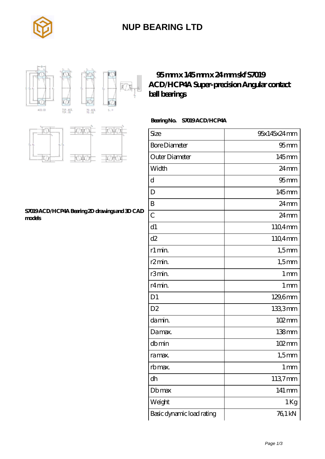

### **[NUP BEARING LTD](https://rsi-center.com)**



### **[95 mm x 145 mm x 24 mm skf S7019](https://rsi-center.com/at-251667-skf-s7019-acd-hcp4a-super-precision-angular-contact-ball-bearings.html) [ACD/HCP4A Super-precision Angular contact](https://rsi-center.com/at-251667-skf-s7019-acd-hcp4a-super-precision-angular-contact-ball-bearings.html) [ball bearings](https://rsi-center.com/at-251667-skf-s7019-acd-hcp4a-super-precision-angular-contact-ball-bearings.html)**

### **Bearing No. S7019 ACD/HCP4A**

| Size                      | 95x145x24mm         |
|---------------------------|---------------------|
| <b>Bore Diameter</b>      | $95$ <sub>mm</sub>  |
| Outer Diameter            | 145mm               |
| Width                     | $24$ mm             |
| d                         | $95$ <sub>mm</sub>  |
| D                         | 145mm               |
| B                         | 24mm                |
| $\overline{C}$            | 24mm                |
| d1                        | 110,4mm             |
| d2                        | 1104mm              |
| r1 min.                   | $1,5$ mm            |
| r <sub>2</sub> min.       | $1,5$ mm            |
| r3min.                    | 1 <sub>mm</sub>     |
| r4 min.                   | 1 <sub>mm</sub>     |
| D <sub>1</sub>            | 129,6mm             |
| D <sub>2</sub>            | 1333mm              |
| damin.                    | 102mm               |
| Damax.                    | 138 <sub>mm</sub>   |
| dbmin                     | $102 \,\mathrm{mm}$ |
| ra max.                   | $1,5$ mm            |
| rb max.                   | 1 <sub>mm</sub>     |
| dh                        | 1137mm              |
| Dbmax                     | 141 mm              |
| Weight                    | 1 Kg                |
| Basic dynamic load rating | 76,1 kN             |



#### **[S7019 ACD/HCP4A Bearing 2D drawings and 3D CAD](https://rsi-center.com/pic-251667.html) [models](https://rsi-center.com/pic-251667.html)**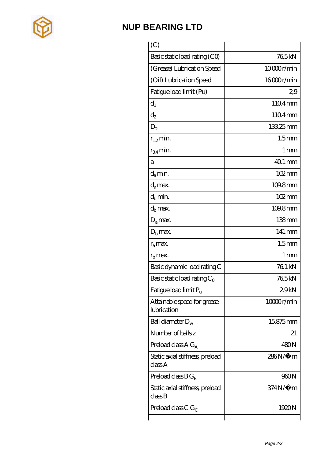

## **[NUP BEARING LTD](https://rsi-center.com)**

| (C)                                        |                     |
|--------------------------------------------|---------------------|
| Basic static load rating (CO)              | 765kN               |
| (Grease) Lubrication Speed                 | 10000r/min          |
| (Oil) Lubrication Speed                    | 16000r/min          |
| Fatigue load limit (Pu)                    | 29                  |
| $d_1$                                      | 1104mm              |
| $\mathrm{d}_{2}$                           | 1104mm              |
| $D_2$                                      | 13325mm             |
| $r_{1,2}$ min.                             | 1.5 <sub>mm</sub>   |
| $r_{34}$ min.                              | 1 <sub>mm</sub>     |
| a                                          | $401$ mm            |
| $d_a$ min.                                 | 102mm               |
| $d_a$ max.                                 | 109.8mm             |
| $d_b$ min.                                 | $102 \,\mathrm{mm}$ |
| $d_h$ max.                                 | 109.8mm             |
| $D_a$ max.                                 | 138 <sub>mm</sub>   |
| $Db$ max.                                  | 141 mm              |
| $r_a$ max.                                 | 1.5 <sub>mm</sub>   |
| $rb$ max.                                  | 1 <sub>mm</sub>     |
| Basic dynamic load rating C                | 76.1 kN             |
| Basic static load rating $C_0$             | 765kN               |
| Fatigue load limit $P_{\rm u}$             | 29kN                |
| Attainable speed for grease<br>lubrication | 10000r/min          |
| Ball diameter $D_w$                        | 15.875mm            |
| Number of balls z                          | 21                  |
| Preload class $AG_A$                       | 480N                |
| Static axial stiffness, preload<br>classA  | 286N/µ m            |
| Preload class $B G_B$                      | 960N                |
| Static axial stiffness, preload<br>classB  | 374N/µ m            |
| Preload class C $G_C$                      | 1920N               |
|                                            |                     |